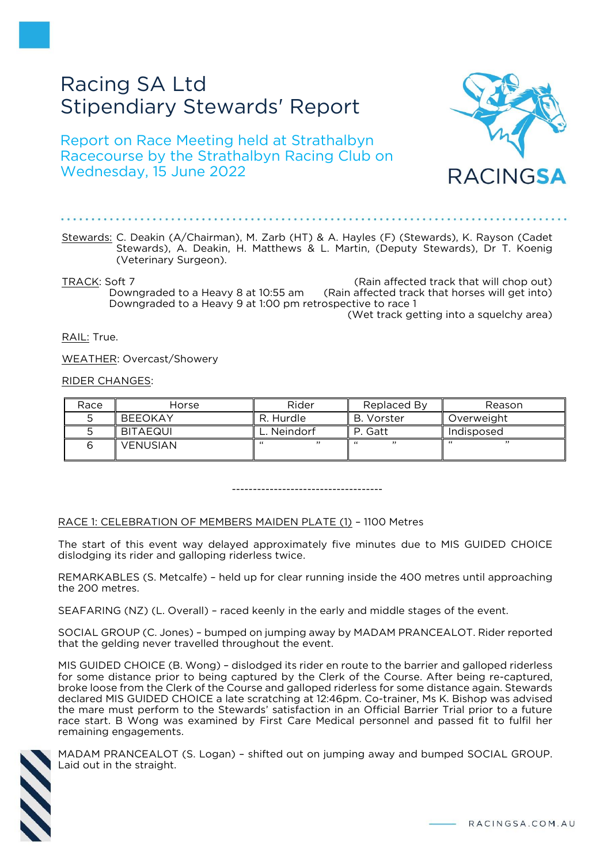# Racing SA Ltd Stipendiary Stewards' Report

Report on Race Meeting held at Strathalbyn Racecourse by the Strathalbyn Racing Club on Wednesday, 15 June 2022



TRACK: Soft 7 (Rain affected track that will chop out) Downgraded to a Heavy 8 at 10:55 am (Rain affected track that horses will get into) Downgraded to a Heavy 9 at 1:00 pm retrospective to race 1

(Wet track getting into a squelchy area)

RACINGSA

RAIL: True.

WEATHER: Overcast/Showery

RIDER CHANGES:

| Race | Horse          | Rider     | Replaced By | Reason     |
|------|----------------|-----------|-------------|------------|
|      | <b>BEEOKAY</b> | R. Hurdle | B. Vorster  | Overweight |
|      | BITAEQUI       | Neindorf  | P. Gatt     | Indisposed |
|      | VENUSIAN       | ,,        | ,,<br>"     | , 1.1<br>" |

------------------------------------

RACE 1: CELEBRATION OF MEMBERS MAIDEN PLATE (1) – 1100 Metres

The start of this event way delayed approximately five minutes due to MIS GUIDED CHOICE dislodging its rider and galloping riderless twice.

REMARKABLES (S. Metcalfe) – held up for clear running inside the 400 metres until approaching the 200 metres.

SEAFARING (NZ) (L. Overall) – raced keenly in the early and middle stages of the event.

SOCIAL GROUP (C. Jones) – bumped on jumping away by MADAM PRANCEALOT. Rider reported that the gelding never travelled throughout the event.

MIS GUIDED CHOICE (B. Wong) – dislodged its rider en route to the barrier and galloped riderless for some distance prior to being captured by the Clerk of the Course. After being re-captured, broke loose from the Clerk of the Course and galloped riderless for some distance again. Stewards declared MIS GUIDED CHOICE a late scratching at 12:46pm. Co-trainer, Ms K. Bishop was advised the mare must perform to the Stewards' satisfaction in an Official Barrier Trial prior to a future race start. B Wong was examined by First Care Medical personnel and passed fit to fulfil her remaining engagements.



MADAM PRANCEALOT (S. Logan) – shifted out on jumping away and bumped SOCIAL GROUP. Laid out in the straight.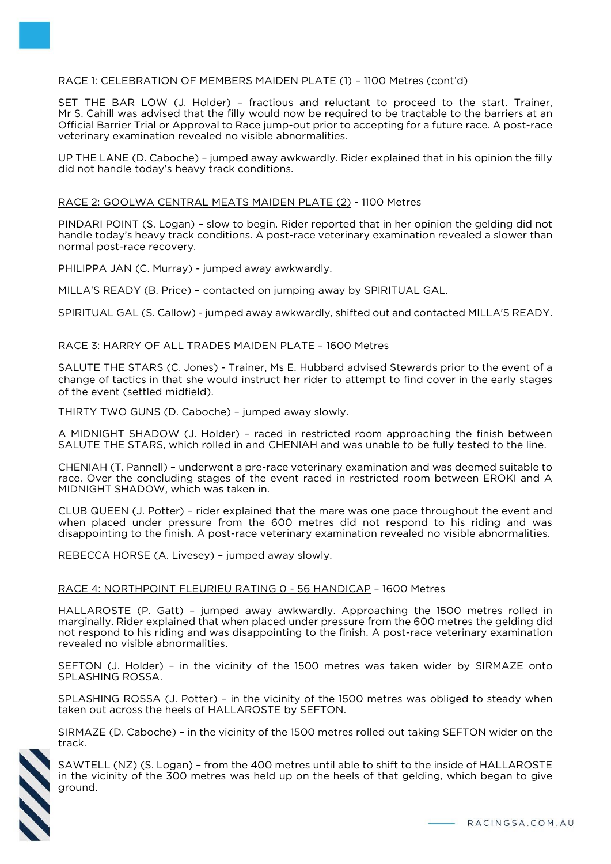# RACE 1: CELEBRATION OF MEMBERS MAIDEN PLATE (1) – 1100 Metres (cont'd)

SET THE BAR LOW (J. Holder) – fractious and reluctant to proceed to the start. Trainer, Mr S. Cahill was advised that the filly would now be required to be tractable to the barriers at an Official Barrier Trial or Approval to Race jump-out prior to accepting for a future race. A post-race veterinary examination revealed no visible abnormalities.

UP THE LANE (D. Caboche) – jumped away awkwardly. Rider explained that in his opinion the filly did not handle today's heavy track conditions.

## RACE 2: GOOLWA CENTRAL MEATS MAIDEN PLATE (2) - 1100 Metres

PINDARI POINT (S. Logan) – slow to begin. Rider reported that in her opinion the gelding did not handle today's heavy track conditions. A post-race veterinary examination revealed a slower than normal post-race recovery.

PHILIPPA JAN (C. Murray) - jumped away awkwardly.

MILLA'S READY (B. Price) – contacted on jumping away by SPIRITUAL GAL.

SPIRITUAL GAL (S. Callow) - jumped away awkwardly, shifted out and contacted MILLA'S READY.

## RACE 3: HARRY OF ALL TRADES MAIDEN PLATE – 1600 Metres

SALUTE THE STARS (C. Jones) - Trainer, Ms E. Hubbard advised Stewards prior to the event of a change of tactics in that she would instruct her rider to attempt to find cover in the early stages of the event (settled midfield).

THIRTY TWO GUNS (D. Caboche) – jumped away slowly.

A MIDNIGHT SHADOW (J. Holder) – raced in restricted room approaching the finish between SALUTE THE STARS, which rolled in and CHENIAH and was unable to be fully tested to the line.

CHENIAH (T. Pannell) – underwent a pre-race veterinary examination and was deemed suitable to race. Over the concluding stages of the event raced in restricted room between EROKI and A MIDNIGHT SHADOW, which was taken in.

CLUB QUEEN (J. Potter) – rider explained that the mare was one pace throughout the event and when placed under pressure from the 600 metres did not respond to his riding and was disappointing to the finish. A post-race veterinary examination revealed no visible abnormalities.

REBECCA HORSE (A. Livesey) – jumped away slowly.

## RACE 4: NORTHPOINT FLEURIEU RATING 0 - 56 HANDICAP – 1600 Metres

HALLAROSTE (P. Gatt) – jumped away awkwardly. Approaching the 1500 metres rolled in marginally. Rider explained that when placed under pressure from the 600 metres the gelding did not respond to his riding and was disappointing to the finish. A post-race veterinary examination revealed no visible abnormalities.

SEFTON (J. Holder) – in the vicinity of the 1500 metres was taken wider by SIRMAZE onto SPLASHING ROSSA.

SPLASHING ROSSA (J. Potter) – in the vicinity of the 1500 metres was obliged to steady when taken out across the heels of HALLAROSTE by SEFTON.

SIRMAZE (D. Caboche) – in the vicinity of the 1500 metres rolled out taking SEFTON wider on the track.

SAWTELL (NZ) (S. Logan) – from the 400 metres until able to shift to the inside of HALLAROSTE in the vicinity of the 300 metres was held up on the heels of that gelding, which began to give ground.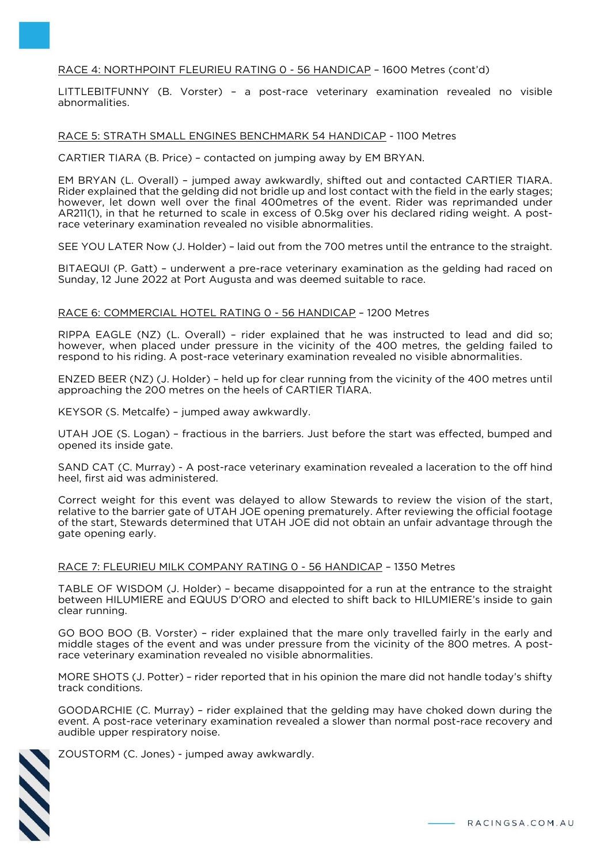# RACE 4: NORTHPOINT FLEURIEU RATING 0 - 56 HANDICAP – 1600 Metres (cont'd)

LITTLEBITFUNNY (B. Vorster) – a post-race veterinary examination revealed no visible abnormalities.

#### RACE 5: STRATH SMALL ENGINES BENCHMARK 54 HANDICAP - 1100 Metres

CARTIER TIARA (B. Price) – contacted on jumping away by EM BRYAN.

EM BRYAN (L. Overall) – jumped away awkwardly, shifted out and contacted CARTIER TIARA. Rider explained that the gelding did not bridle up and lost contact with the field in the early stages; however, let down well over the final 400metres of the event. Rider was reprimanded under AR211(1), in that he returned to scale in excess of 0.5kg over his declared riding weight. A postrace veterinary examination revealed no visible abnormalities.

SEE YOU LATER Now (J. Holder) – laid out from the 700 metres until the entrance to the straight.

BITAEQUI (P. Gatt) – underwent a pre-race veterinary examination as the gelding had raced on Sunday, 12 June 2022 at Port Augusta and was deemed suitable to race.

## RACE 6: COMMERCIAL HOTEL RATING 0 - 56 HANDICAP – 1200 Metres

RIPPA EAGLE (NZ) (L. Overall) – rider explained that he was instructed to lead and did so; however, when placed under pressure in the vicinity of the 400 metres, the gelding failed to respond to his riding. A post-race veterinary examination revealed no visible abnormalities.

ENZED BEER (NZ) (J. Holder) – held up for clear running from the vicinity of the 400 metres until approaching the 200 metres on the heels of CARTIER TIARA.

KEYSOR (S. Metcalfe) – jumped away awkwardly.

UTAH JOE (S. Logan) – fractious in the barriers. Just before the start was effected, bumped and opened its inside gate.

SAND CAT (C. Murray) - A post-race veterinary examination revealed a laceration to the off hind heel, first aid was administered.

Correct weight for this event was delayed to allow Stewards to review the vision of the start, relative to the barrier gate of UTAH JOE opening prematurely. After reviewing the official footage of the start, Stewards determined that UTAH JOE did not obtain an unfair advantage through the gate opening early.

## RACE 7: FLEURIEU MILK COMPANY RATING 0 - 56 HANDICAP – 1350 Metres

TABLE OF WISDOM (J. Holder) – became disappointed for a run at the entrance to the straight between HILUMIERE and EQUUS D'ORO and elected to shift back to HILUMIERE's inside to gain clear running.

GO BOO BOO (B. Vorster) – rider explained that the mare only travelled fairly in the early and middle stages of the event and was under pressure from the vicinity of the 800 metres. A postrace veterinary examination revealed no visible abnormalities.

MORE SHOTS (J. Potter) – rider reported that in his opinion the mare did not handle today's shifty track conditions.

GOODARCHIE (C. Murray) – rider explained that the gelding may have choked down during the event. A post-race veterinary examination revealed a slower than normal post-race recovery and audible upper respiratory noise.



ZOUSTORM (C. Jones) - jumped away awkwardly.